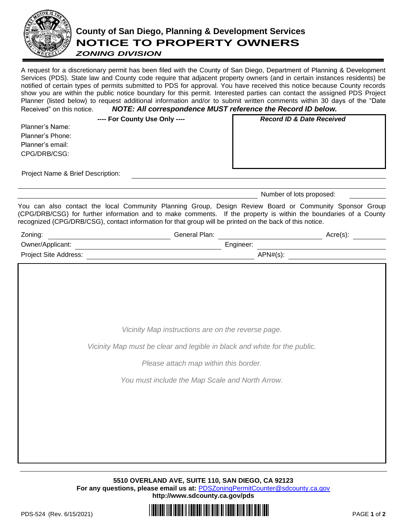

## **County of San Diego, Planning & Development Services NOTICE TO PROPERTY OWNERS**

## *ZONING DIVISION*

A request for a discretionary permit has been filed with the County of San Diego, Department of Planning & Development Services (PDS). State law and County code require that adjacent property owners (and in certain instances residents) be notified of certain types of permits submitted to PDS for approval. You have received this notice because County records show you are within the public notice boundary for this permit. Interested parties can contact the assigned PDS Project Planner (listed below) to request additional information and/or to submit written comments within 30 days of the "Date Received" on this notice. *NOTE: All correspondence MUST reference the Record ID below.*

|                  | ---- For County Use Only ---- | <b>Record ID &amp; Date Received</b> |
|------------------|-------------------------------|--------------------------------------|
| Planner's Name:  |                               |                                      |
| Planner's Phone: |                               |                                      |
| Planner's email: |                               |                                      |
| CPG/DRB/CSG:     |                               |                                      |
|                  |                               |                                      |

Project Name & Brief Description:

Number of lots proposed:

You can also contact the local Community Planning Group, Design Review Board or Community Sponsor Group (CPG/DRB/CSG) for further information and to make comments. If the property is within the boundaries of a County recognized (CPG/DRB/CSG), contact information for that group will be printed on the back of this notice.

| Zoning:               | General Plan: |           |             | $Arcre(s)$ : |
|-----------------------|---------------|-----------|-------------|--------------|
| Owner/Applicant:      |               | Engineer: |             |              |
| Project Site Address: |               |           | $APN#(s)$ : |              |
|                       |               |           |             |              |

*Vicinity Map instructions are on the reverse page.*

*Vicinity Map must be clear and legible in black and white for the public.*

*Please attach map within this border.*

*You must include the Map Scale and North Arrow.* 

**5510 OVERLAND AVE, SUITE 110, SAN DIEGO, CA 92123 For any questions, please email us at:** [PDSZoningPermitCounter@sdcounty.ca.gov](mailto:PDSZoningPermitCounter@sdcounty.ca.gov) **<http://www.sdcounty.ca.gov/pds>**